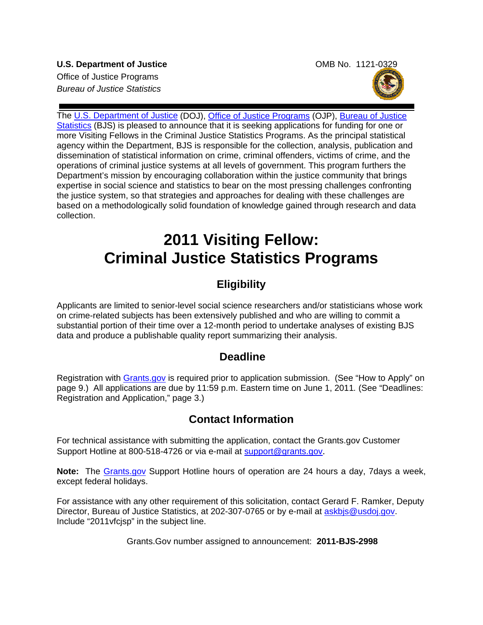**U.S. Department of Justice**  COMB No. 1121-0329 Office of Justice Programs *Bureau of Justice Statistics* 



The [U.S. Department of Justice](http://www.usdoj.gov/) (DOJ), [Office of Justice Programs](http://www.ojp.gov/flash.htm) (OJP), [Bureau of Justice](http://www.bjs.gov/)  [Statistics](http://www.bjs.gov/) (BJS) is pleased to announce that it is seeking applications for funding for one or more Visiting Fellows in the Criminal Justice Statistics Programs. As the principal statistical agency within the Department, BJS is responsible for the collection, analysis, publication and dissemination of statistical information on crime, criminal offenders, victims of crime, and the operations of criminal justice systems at all levels of government. This program furthers the Department's mission by encouraging collaboration within the justice community that brings expertise in social science and statistics to bear on the most pressing challenges confronting the justice system, so that strategies and approaches for dealing with these challenges are based on a methodologically solid foundation of knowledge gained through research and data collection.

# **2011 Visiting Fellow: Criminal Justice Statistics Programs**

# **Eligibility**

Applicants are limited to senior-level social science researchers and/or statisticians whose work on crime-related subjects has been extensively published and who are willing to commit a substantial portion of their time over a 12-month period to undertake analyses of existing BJS data and produce a publishable quality report summarizing their analysis.

## **Deadline**

Registration with [Grants.gov](http://www.grants.gov/applicants/apply_for_grants.jsp) is required prior to application submission. (See "How to Apply" on page 9.) All applications are due by 11:59 p.m. Eastern time on June 1, 2011*.* (See "Deadlines: Registration and Application," page 3.)

## **Contact Information**

For technical assistance with submitting the application, contact the Grants.gov Customer Support Hotline at 800-518-4726 or via e-mail at [support@grants.gov](mailto:support@grants.gov).

**Note:** The [Grants.gov](http://www.grants.gov/applicants/apply_for_grants.jsp) Support Hotline hours of operation are 24 hours a day, 7days a week, except federal holidays.

For assistance with any other requirement of this solicitation, contact Gerard F. Ramker, Deputy Director, Bureau of Justice Statistics, at 202-307-0765 or by e-mail at askbis@usdoj.gov. Include "2011vfcjsp" in the subject line.

Grants.Gov number assigned to announcement: **2011-BJS-2998**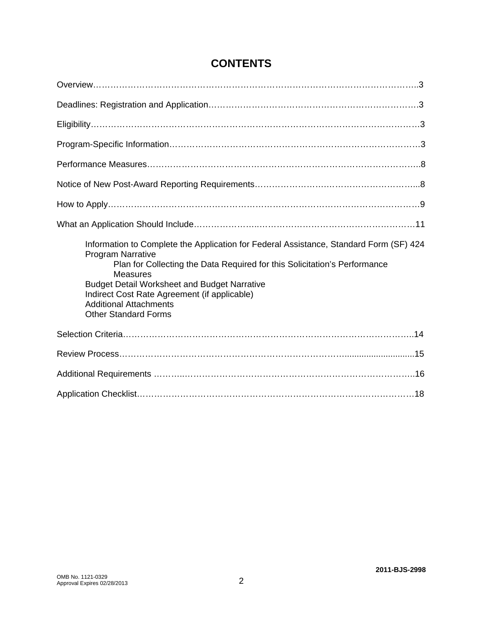| Information to Complete the Application for Federal Assistance, Standard Form (SF) 424<br>Program Narrative<br>Plan for Collecting the Data Required for this Solicitation's Performance<br><b>Measures</b><br><b>Budget Detail Worksheet and Budget Narrative</b><br>Indirect Cost Rate Agreement (if applicable)<br><b>Additional Attachments</b><br><b>Other Standard Forms</b> |
|------------------------------------------------------------------------------------------------------------------------------------------------------------------------------------------------------------------------------------------------------------------------------------------------------------------------------------------------------------------------------------|
|                                                                                                                                                                                                                                                                                                                                                                                    |
|                                                                                                                                                                                                                                                                                                                                                                                    |
|                                                                                                                                                                                                                                                                                                                                                                                    |
|                                                                                                                                                                                                                                                                                                                                                                                    |

# **CONTENTS**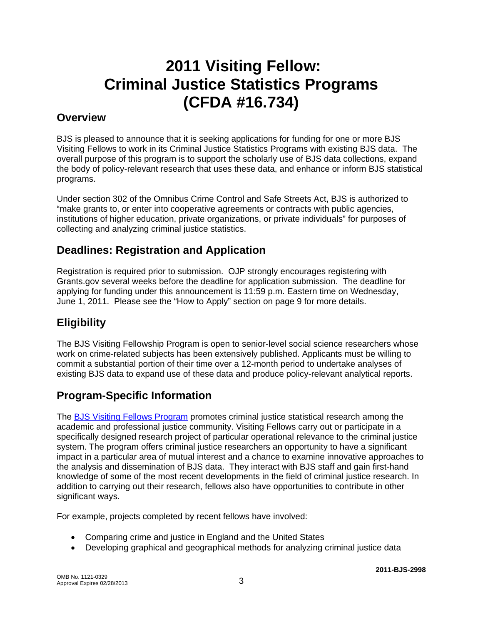# **2011 Visiting Fellow: Criminal Justice Statistics Programs (CFDA #16.734)**

### **Overview**

BJS is pleased to announce that it is seeking applications for funding for one or more BJS Visiting Fellows to work in its Criminal Justice Statistics Programs with existing BJS data. The overall purpose of this program is to support the scholarly use of BJS data collections, expand the body of policy-relevant research that uses these data, and enhance or inform BJS statistical programs.

Under section 302 of the Omnibus Crime Control and Safe Streets Act, BJS is authorized to "make grants to, or enter into cooperative agreements or contracts with public agencies, institutions of higher education, private organizations, or private individuals" for purposes of collecting and analyzing criminal justice statistics.

# **Deadlines: Registration and Application**

Registration is required prior to submission. OJP strongly encourages registering with Grants.gov several weeks before the deadline for application submission. The deadline for applying for funding under this announcement is 11:59 p.m. Eastern time on Wednesday, June 1, 2011. Please see the "How to Apply" section on page 9 for more details.

# **Eligibility**

The BJS Visiting Fellowship Program is open to senior-level social science researchers whose work on crime-related subjects has been extensively published. Applicants must be willing to commit a substantial portion of their time over a 12-month period to undertake analyses of existing BJS data to expand use of these data and produce policy-relevant analytical reports.

# **Program-Specific Information**

The [BJS Visiting Fellows Program](http://bjs.gov/content/Visiting_Fellows_Program.cfm) promotes criminal justice statistical research among the academic and professional justice community. Visiting Fellows carry out or participate in a specifically designed research project of particular operational relevance to the criminal justice system. The program offers criminal justice researchers an opportunity to have a significant impact in a particular area of mutual interest and a chance to examine innovative approaches to the analysis and dissemination of BJS data. They interact with BJS staff and gain first-hand knowledge of some of the most recent developments in the field of criminal justice research. In addition to carrying out their research, fellows also have opportunities to contribute in other significant ways.

For example, projects completed by recent fellows have involved:

- Comparing crime and justice in England and the United States
- Developing graphical and geographical methods for analyzing criminal justice data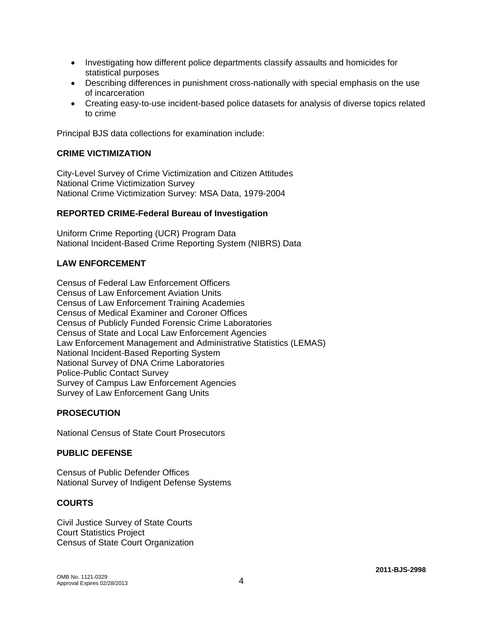- Investigating how different police departments classify assaults and homicides for statistical purposes
- Describing differences in punishment cross-nationally with special emphasis on the use of incarceration
- Creating easy-to-use incident-based police datasets for analysis of diverse topics related to crime

Principal BJS data collections for examination include:

#### **CRIME VICTIMIZATION**

City-Level Survey of Crime Victimization and Citizen Attitudes National Crime Victimization Survey National Crime Victimization Survey: MSA Data, 1979-2004

#### **REPORTED CRIME-Federal Bureau of Investigation**

Uniform Crime Reporting (UCR) Program Data National Incident-Based Crime Reporting System (NIBRS) Data

#### **LAW ENFORCEMENT**

Census of Federal Law Enforcement Officers Census of Law Enforcement Aviation Units Census of Law Enforcement Training Academies Census of Medical Examiner and Coroner Offices Census of Publicly Funded Forensic Crime Laboratories Census of State and Local Law Enforcement Agencies Law Enforcement Management and Administrative Statistics (LEMAS) National Incident-Based Reporting System National Survey of DNA Crime Laboratories Police-Public Contact Survey Survey of Campus Law Enforcement Agencies Survey of Law Enforcement Gang Units

#### **PROSECUTION**

National Census of State Court Prosecutors

#### **PUBLIC DEFENSE**

Census of Public Defender Offices National Survey of Indigent Defense Systems

#### **COURTS**

Civil Justice Survey of State Courts Court Statistics Project Census of State Court Organization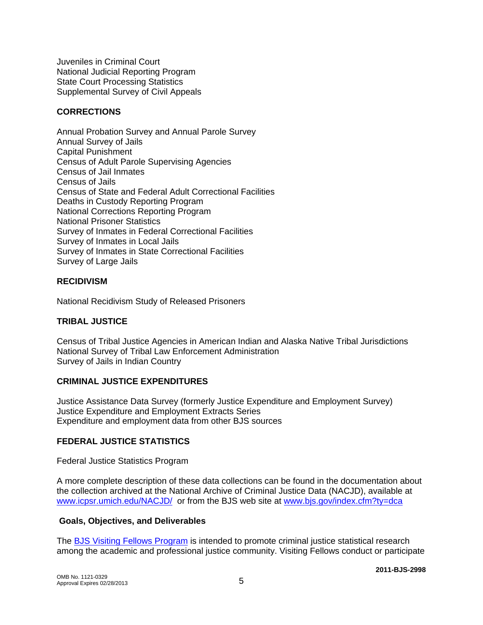Juveniles in Criminal Court National Judicial Reporting Program State Court Processing Statistics Supplemental Survey of Civil Appeals

### **CORRECTIONS**

Annual Probation Survey and Annual Parole Survey Annual Survey of Jails Capital Punishment Census of Adult Parole Supervising Agencies Census of Jail Inmates Census of Jails Census of State and Federal Adult Correctional Facilities Deaths in Custody Reporting Program National Corrections Reporting Program National Prisoner Statistics Survey of Inmates in Federal Correctional Facilities Survey of Inmates in Local Jails Survey of Inmates in State Correctional Facilities Survey of Large Jails

### **RECIDIVISM**

National Recidivism Study of Released Prisoners

#### **TRIBAL JUSTICE**

Census of Tribal Justice Agencies in American Indian and Alaska Native Tribal Jurisdictions National Survey of Tribal Law Enforcement Administration Survey of Jails in Indian Country

#### **CRIMINAL JUSTICE EXPENDITURES**

Justice Assistance Data Survey (formerly Justice Expenditure and Employment Survey) Justice Expenditure and Employment Extracts Series Expenditure and employment data from other BJS sources

#### **FEDERAL JUSTICE STATISTICS**

Federal Justice Statistics Program

A more complete description of these data collections can be found in the documentation about the collection archived at the National Archive of Criminal Justice Data (NACJD), available at [www.icpsr.umich.edu/NACJD/](http://www.icpsr.umich.edu/NACJD/) or from the BJS web site at [www.bjs.gov/index.cfm?ty=dca](http://www.bjs.gov/index.cfm?ty=dca)

#### **Goals, Objectives, and Deliverables**

The [BJS Visiting Fellows Program](http://bjs.gov/content/Visiting_Fellows_Program.cfm) is intended to promote criminal justice statistical research among the academic and professional justice community. Visiting Fellows conduct or participate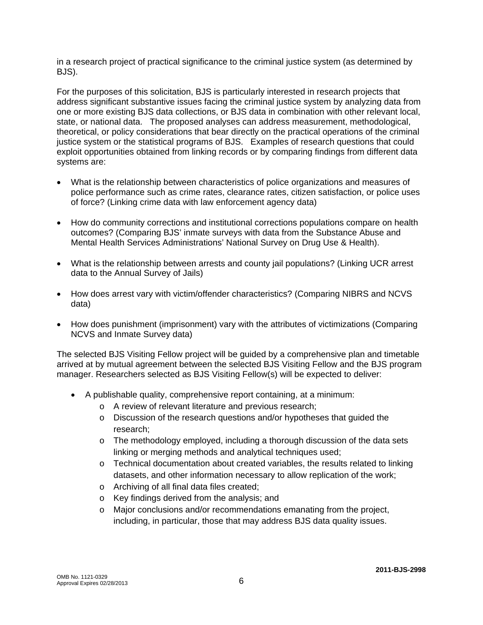in a research project of practical significance to the criminal justice system (as determined by BJS).

For the purposes of this solicitation, BJS is particularly interested in research projects that address significant substantive issues facing the criminal justice system by analyzing data from one or more existing BJS data collections, or BJS data in combination with other relevant local, state, or national data. The proposed analyses can address measurement, methodological, theoretical, or policy considerations that bear directly on the practical operations of the criminal justice system or the statistical programs of BJS. Examples of research questions that could exploit opportunities obtained from linking records or by comparing findings from different data systems are:

- What is the relationship between characteristics of police organizations and measures of police performance such as crime rates, clearance rates, citizen satisfaction, or police uses of force? (Linking crime data with law enforcement agency data)
- How do community corrections and institutional corrections populations compare on health outcomes? (Comparing BJS' inmate surveys with data from the Substance Abuse and Mental Health Services Administrations' National Survey on Drug Use & Health).
- What is the relationship between arrests and county jail populations? (Linking UCR arrest data to the Annual Survey of Jails)
- How does arrest vary with victim/offender characteristics? (Comparing NIBRS and NCVS data)
- How does punishment (imprisonment) vary with the attributes of victimizations (Comparing NCVS and Inmate Survey data)

The selected BJS Visiting Fellow project will be guided by a comprehensive plan and timetable arrived at by mutual agreement between the selected BJS Visiting Fellow and the BJS program manager. Researchers selected as BJS Visiting Fellow(s) will be expected to deliver:

- A publishable quality, comprehensive report containing, at a minimum:
	- o A review of relevant literature and previous research;
	- o Discussion of the research questions and/or hypotheses that guided the research;
	- o The methodology employed, including a thorough discussion of the data sets linking or merging methods and analytical techniques used;
	- $\circ$  Technical documentation about created variables, the results related to linking datasets, and other information necessary to allow replication of the work;
	- o Archiving of all final data files created;
	- o Key findings derived from the analysis; and
	- o Major conclusions and/or recommendations emanating from the project, including, in particular, those that may address BJS data quality issues.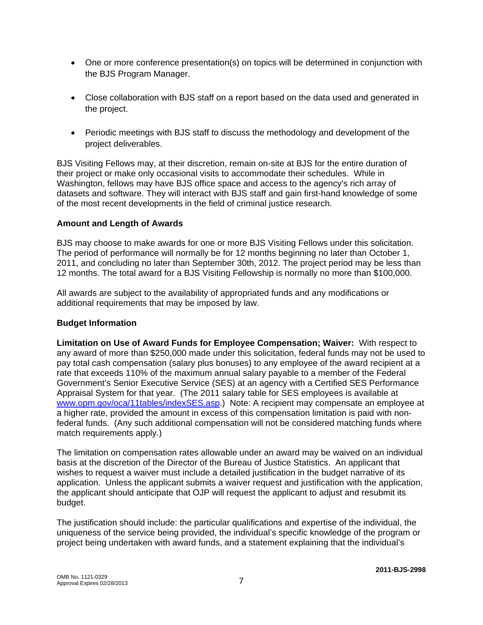- One or more conference presentation(s) on topics will be determined in conjunction with the BJS Program Manager.
- Close collaboration with BJS staff on a report based on the data used and generated in the project.
- Periodic meetings with BJS staff to discuss the methodology and development of the project deliverables.

BJS Visiting Fellows may, at their discretion, remain on-site at BJS for the entire duration of their project or make only occasional visits to accommodate their schedules. While in Washington, fellows may have BJS office space and access to the agency's rich array of datasets and software. They will interact with BJS staff and gain first-hand knowledge of some of the most recent developments in the field of criminal justice research.

#### **Amount and Length of Awards**

BJS may choose to make awards for one or more BJS Visiting Fellows under this solicitation. The period of performance will normally be for 12 months beginning no later than October 1, 2011, and concluding no later than September 30th, 2012. The project period may be less than 12 months. The total award for a BJS Visiting Fellowship is normally no more than \$100,000.

All awards are subject to the availability of appropriated funds and any modifications or additional requirements that may be imposed by law.

#### **Budget Information**

**Limitation on Use of Award Funds for Employee Compensation; Waiver:** With respect to any award of more than \$250,000 made under this solicitation, federal funds may not be used to pay total cash compensation (salary plus bonuses) to any employee of the award recipient at a rate that exceeds 110% of the maximum annual salary payable to a member of the Federal Government's Senior Executive Service (SES) at an agency with a Certified SES Performance Appraisal System for that year. (The 2011 salary table for SES employees is available at [www.opm.gov/oca/11tables/indexSES.asp.](http://www.opm.gov/oca/11tables/indexSES.asp)) Note: A recipient may compensate an employee at a higher rate, provided the amount in excess of this compensation limitation is paid with nonfederal funds. (Any such additional compensation will not be considered matching funds where match requirements apply.)

The limitation on compensation rates allowable under an award may be waived on an individual basis at the discretion of the Director of the Bureau of Justice Statistics. An applicant that wishes to request a waiver must include a detailed justification in the budget narrative of its application. Unless the applicant submits a waiver request and justification with the application, the applicant should anticipate that OJP will request the applicant to adjust and resubmit its budget.

The justification should include: the particular qualifications and expertise of the individual, the uniqueness of the service being provided, the individual's specific knowledge of the program or project being undertaken with award funds, and a statement explaining that the individual's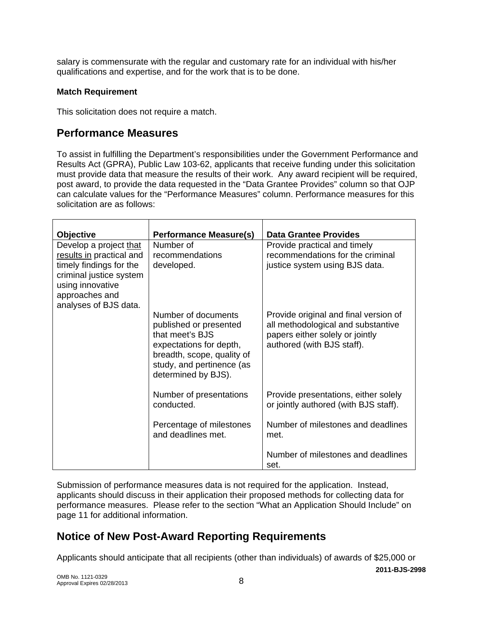salary is commensurate with the regular and customary rate for an individual with his/her qualifications and expertise, and for the work that is to be done.

### **Match Requirement**

This solicitation does not require a match.

## **Performance Measures**

To assist in fulfilling the Department's responsibilities under the Government Performance and Results Act (GPRA), Public Law 103-62, applicants that receive funding under this solicitation must provide data that measure the results of their work. Any award recipient will be required, post award, to provide the data requested in the "Data Grantee Provides" column so that OJP can calculate values for the "Performance Measures" column. Performance measures for this solicitation are as follows:

| <b>Objective</b>                                                                                                                                                        | <b>Performance Measure(s)</b>                                                                                                                                                 | <b>Data Grantee Provides</b>                                                                                                                 |
|-------------------------------------------------------------------------------------------------------------------------------------------------------------------------|-------------------------------------------------------------------------------------------------------------------------------------------------------------------------------|----------------------------------------------------------------------------------------------------------------------------------------------|
| Develop a project that<br>results in practical and<br>timely findings for the<br>criminal justice system<br>using innovative<br>approaches and<br>analyses of BJS data. | Number of<br>recommendations<br>developed.                                                                                                                                    | Provide practical and timely<br>recommendations for the criminal<br>justice system using BJS data.                                           |
|                                                                                                                                                                         | Number of documents<br>published or presented<br>that meet's BJS<br>expectations for depth,<br>breadth, scope, quality of<br>study, and pertinence (as<br>determined by BJS). | Provide original and final version of<br>all methodological and substantive<br>papers either solely or jointly<br>authored (with BJS staff). |
|                                                                                                                                                                         | Number of presentations<br>conducted.                                                                                                                                         | Provide presentations, either solely<br>or jointly authored (with BJS staff).                                                                |
|                                                                                                                                                                         | Percentage of milestones<br>and deadlines met.                                                                                                                                | Number of milestones and deadlines<br>met.                                                                                                   |
|                                                                                                                                                                         |                                                                                                                                                                               | Number of milestones and deadlines<br>set.                                                                                                   |

Submission of performance measures data is not required for the application. Instead, applicants should discuss in their application their proposed methods for collecting data for performance measures. Please refer to the section "What an Application Should Include" on page 11 for additional information.

# **Notice of New Post-Award Reporting Requirements**

Applicants should anticipate that all recipients (other than individuals) of awards of \$25,000 or

**2011-BJS-2998**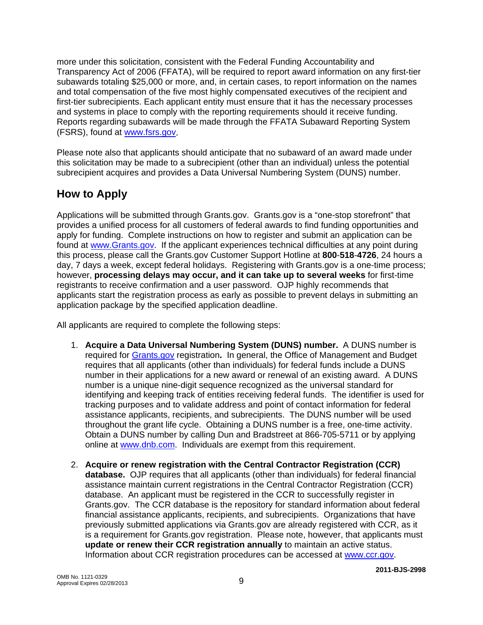more under this solicitation, consistent with the Federal Funding Accountability and Transparency Act of 2006 (FFATA), will be required to report award information on any first-tier subawards totaling \$25,000 or more, and, in certain cases, to report information on the names and total compensation of the five most highly compensated executives of the recipient and first-tier subrecipients. Each applicant entity must ensure that it has the necessary processes and systems in place to comply with the reporting requirements should it receive funding. Reports regarding subawards will be made through the FFATA Subaward Reporting System (FSRS), found at [www.fsrs.gov](http://www.fsrs.gov/).

Please note also that applicants should anticipate that no subaward of an award made under this solicitation may be made to a subrecipient (other than an individual) unless the potential subrecipient acquires and provides a Data Universal Numbering System (DUNS) number.

# **How to Apply**

Applications will be submitted through Grants.gov.Grants.gov is a "one-stop storefront" that provides a unified process for all customers of federal awards to find funding opportunities and apply for funding. Complete instructions on how to register and submit an application can be found at [www.Grants.gov](http://www.grants.gov/). If the applicant experiences technical difficulties at any point during this process, please call the Grants.gov Customer Support Hotline at **800**-**518**-**4726**, 24 hours a day, 7 days a week, except federal holidays. Registering with Grants.gov is a one-time process; however, **processing delays may occur, and it can take up to several weeks** for first-time registrants to receive confirmation and a user password. OJP highly recommends that applicants start the registration process as early as possible to prevent delays in submitting an application package by the specified application deadline.

All applicants are required to complete the following steps:

- 1. **Acquire a Data Universal Numbering System (DUNS) number.** A DUNS number is required for [Grants.gov](http://www.grants.gov/index.jsp) registration**.** In general, the Office of Management and Budget requires that all applicants (other than individuals) for federal funds include a DUNS number in their applications for a new award or renewal of an existing award. A DUNS number is a unique nine-digit sequence recognized as the universal standard for identifying and keeping track of entities receiving federal funds. The identifier is used for tracking purposes and to validate address and point of contact information for federal assistance applicants, recipients, and subrecipients. The DUNS number will be used throughout the grant life cycle. Obtaining a DUNS number is a free, one-time activity. Obtain a DUNS number by calling Dun and Bradstreet at 866-705-5711 or by applying online at [www.dnb.com.](http://www.dnb.com/) Individuals are exempt from this requirement.
- 2. **Acquire or renew registration with the Central Contractor Registration (CCR) database.** OJP requires that all applicants (other than individuals) for federal financial assistance maintain current registrations in the Central Contractor Registration (CCR) database. An applicant must be registered in the CCR to successfully register in Grants.gov. The CCR database is the repository for standard information about federal financial assistance applicants, recipients, and subrecipients. Organizations that have previously submitted applications via Grants.gov are already registered with CCR, as it is a requirement for Grants.gov registration. Please note, however, that applicants must **update or renew their CCR registration annually** to maintain an active status. Information about CCR registration procedures can be accessed at [www.ccr.gov](http://www.ccr.gov/).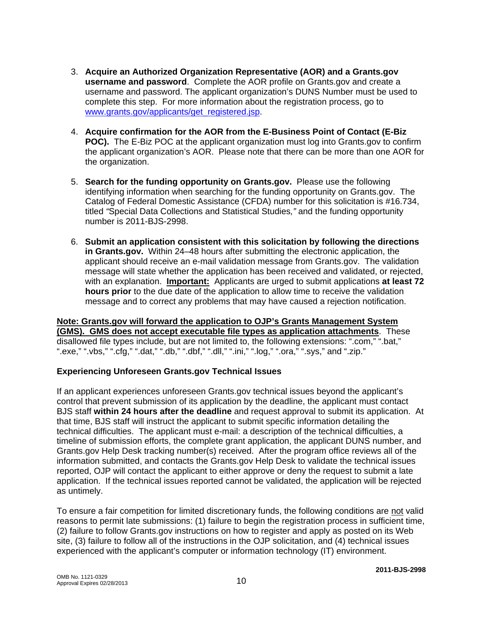- 3. **Acquire an Authorized Organization Representative (AOR) and a Grants.gov username and password**. Complete the AOR profile on Grants.gov and create a username and password. The applicant organization's DUNS Number must be used to complete this step. For more information about the registration process, go to [www.grants.gov/applicants/get\\_registered.jsp](http://www.grants.gov/applicants/get_registered.jsp).
- 4. **Acquire confirmation for the AOR from the E-Business Point of Contact (E-Biz POC).** The E-Biz POC at the applicant organization must log into Grants.gov to confirm the applicant organization's AOR. Please note that there can be more than one AOR for the organization.
- 5. **Search for the funding opportunity on Grants.gov.** Please use the following identifying information when searching for the funding opportunity on Grants.gov. The Catalog of Federal Domestic Assistance (CFDA) number for this solicitation is #16.734, titled *"*Special Data Collections and Statistical Studies*,"* and the funding opportunity number is 2011-BJS-2998.
- 6. **Submit an application consistent with this solicitation by following the directions in Grants.gov.** Within 24–48 hours after submitting the electronic application, the applicant should receive an e-mail validation message from Grants.gov. The validation message will state whether the application has been received and validated, or rejected, with an explanation. **Important:** Applicants are urged to submit applications **at least 72 hours prior** to the due date of the application to allow time to receive the validation message and to correct any problems that may have caused a rejection notification.

### **Note: Grants.gov will forward the application to OJP's Grants Management System (GMS). GMS does not accept executable file types as application attachments**. These disallowed file types include, but are not limited to, the following extensions: ".com," ".bat," ".exe," ".vbs," ".cfg," ".dat," ".db," ".dbf," ".dll," ".ini," ".log," ".ora," ".sys," and ".zip."

### **Experiencing Unforeseen Grants.gov Technical Issues**

If an applicant experiences unforeseen Grants.gov technical issues beyond the applicant's control that prevent submission of its application by the deadline, the applicant must contact BJS staff **within 24 hours after the deadline** and request approval to submit its application. At that time, BJS staff will instruct the applicant to submit specific information detailing the technical difficulties. The applicant must e-mail: a description of the technical difficulties, a timeline of submission efforts, the complete grant application, the applicant DUNS number, and Grants.gov Help Desk tracking number(s) received. After the program office reviews all of the information submitted, and contacts the Grants.gov Help Desk to validate the technical issues reported, OJP will contact the applicant to either approve or deny the request to submit a late application. If the technical issues reported cannot be validated, the application will be rejected as untimely.

To ensure a fair competition for limited discretionary funds, the following conditions are not valid reasons to permit late submissions: (1) failure to begin the registration process in sufficient time, (2) failure to follow Grants.gov instructions on how to register and apply as posted on its Web site, (3) failure to follow all of the instructions in the OJP solicitation, and (4) technical issues experienced with the applicant's computer or information technology (IT) environment.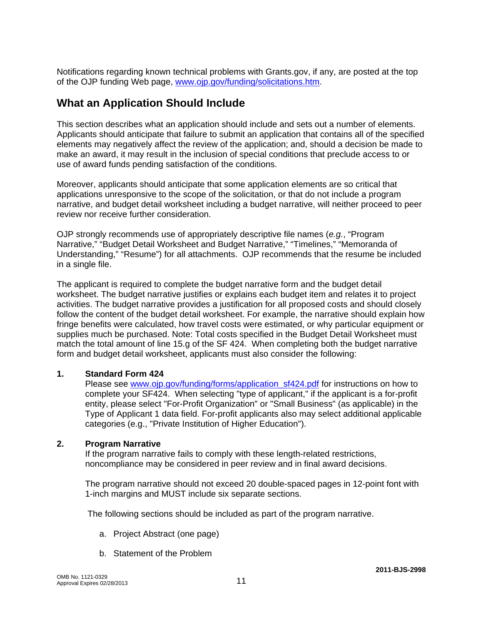Notifications regarding known technical problems with Grants.gov, if any, are posted at the top of the OJP funding Web page, [www.ojp.gov/funding/solicitations.htm](http://www.ojp.gov/funding/solicitations.htm).

### **What an Application Should Include**

This section describes what an application should include and sets out a number of elements. Applicants should anticipate that failure to submit an application that contains all of the specified elements may negatively affect the review of the application; and, should a decision be made to make an award, it may result in the inclusion of special conditions that preclude access to or use of award funds pending satisfaction of the conditions.

Moreover, applicants should anticipate that some application elements are so critical that applications unresponsive to the scope of the solicitation, or that do not include a program narrative, and budget detail worksheet including a budget narrative, will neither proceed to peer review nor receive further consideration.

OJP strongly recommends use of appropriately descriptive file names (*e.g.*, "Program Narrative," "Budget Detail Worksheet and Budget Narrative," "Timelines," "Memoranda of Understanding," "Resume") for all attachments. OJP recommends that the resume be included in a single file.

The applicant is required to complete the budget narrative form and the budget detail worksheet. The budget narrative justifies or explains each budget item and relates it to project activities. The budget narrative provides a justification for all proposed costs and should closely follow the content of the budget detail worksheet. For example, the narrative should explain how fringe benefits were calculated, how travel costs were estimated, or why particular equipment or supplies much be purchased. Note: Total costs specified in the Budget Detail Worksheet must match the total amount of line 15.g of the SF 424. When completing both the budget narrative form and budget detail worksheet, applicants must also consider the following:

#### **1. Standard Form 424**

Please see [www.ojp.gov/funding/forms/application\\_sf424.pdf](http://www.ojp.gov/funding/forms/application_sf424.pdf) for instructions on how to complete your SF424. When selecting "type of applicant," if the applicant is a for-profit entity, please select "For-Profit Organization" or "Small Business" (as applicable) in the Type of Applicant 1 data field. For-profit applicants also may select additional applicable categories (e.g., "Private Institution of Higher Education").

#### **2. Program Narrative**

If the program narrative fails to comply with these length-related restrictions, noncompliance may be considered in peer review and in final award decisions.

The program narrative should not exceed 20 double-spaced pages in 12-point font with 1-inch margins and MUST include six separate sections.

The following sections should be included as part of the program narrative.

- a. Project Abstract (one page)
- b. Statement of the Problem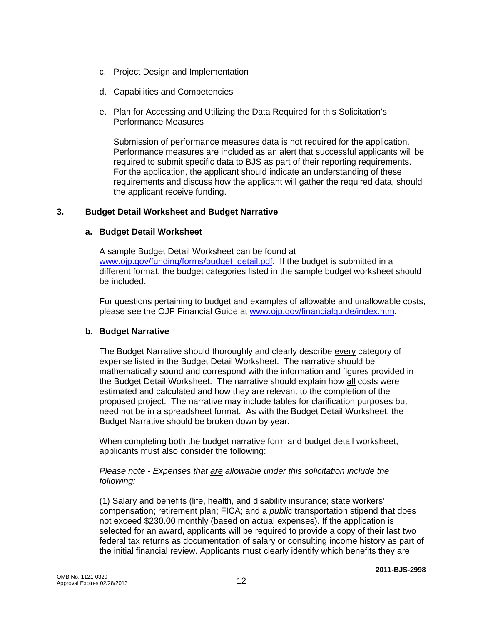- c. Project Design and Implementation
- d. Capabilities and Competencies
- e. Plan for Accessing and Utilizing the Data Required for this Solicitation's Performance Measures

Submission of performance measures data is not required for the application. Performance measures are included as an alert that successful applicants will be required to submit specific data to BJS as part of their reporting requirements. For the application, the applicant should indicate an understanding of these requirements and discuss how the applicant will gather the required data, should the applicant receive funding.

#### **3. Budget Detail Worksheet and Budget Narrative**

#### **a. Budget Detail Worksheet**

A sample Budget Detail Worksheet can be found at www.oip.gov/funding/forms/budget\_detail.pdf. If the budget is submitted in a different format, the budget categories listed in the sample budget worksheet should be included.

For questions pertaining to budget and examples of allowable and unallowable costs, please see the OJP Financial Guide at [www.ojp.gov/financialguide/index.htm](http://www.ojp.gov/financialguide/index.htm)*.*

#### **b. Budget Narrative**

The Budget Narrative should thoroughly and clearly describe every category of expense listed in the Budget Detail Worksheet. The narrative should be mathematically sound and correspond with the information and figures provided in the Budget Detail Worksheet. The narrative should explain how all costs were estimated and calculated and how they are relevant to the completion of the proposed project. The narrative may include tables for clarification purposes but need not be in a spreadsheet format. As with the Budget Detail Worksheet, the Budget Narrative should be broken down by year.

When completing both the budget narrative form and budget detail worksheet, applicants must also consider the following:

#### *Please note - Expenses that are allowable under this solicitation include the following:*

(1) Salary and benefits (life, health, and disability insurance; state workers' compensation; retirement plan; FICA; and a *public* transportation stipend that does not exceed \$230.00 monthly (based on actual expenses). If the application is selected for an award, applicants will be required to provide a copy of their last two federal tax returns as documentation of salary or consulting income history as part of the initial financial review. Applicants must clearly identify which benefits they are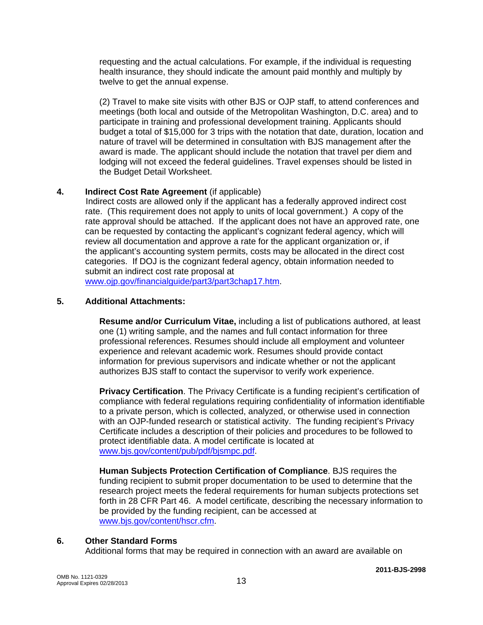requesting and the actual calculations. For example, if the individual is requesting health insurance, they should indicate the amount paid monthly and multiply by twelve to get the annual expense.

(2) Travel to make site visits with other BJS or OJP staff, to attend conferences and meetings (both local and outside of the Metropolitan Washington, D.C. area) and to participate in training and professional development training. Applicants should budget a total of \$15,000 for 3 trips with the notation that date, duration, location and nature of travel will be determined in consultation with BJS management after the award is made. The applicant should include the notation that travel per diem and lodging will not exceed the federal guidelines. Travel expenses should be listed in the Budget Detail Worksheet.

### **4. Indirect Cost Rate Agreement** (if applicable)

 Indirect costs are allowed only if the applicant has a federally approved indirect cost rate. (This requirement does not apply to units of local government.) A copy of the rate approval should be attached. If the applicant does not have an approved rate, one can be requested by contacting the applicant's cognizant federal agency, which will review all documentation and approve a rate for the applicant organization or, if the applicant's accounting system permits, costs may be allocated in the direct cost categories. If DOJ is the cognizant federal agency, obtain information needed to submit an indirect cost rate proposal at

[www.ojp.gov/financialguide/part3/part3chap17.htm](http://www.ojp.gov/financialguide/part3/part3chap17.htm).

### **5. Additional Attachments:**

**Resume and/or Curriculum Vitae,** including a list of publications authored, at least one (1) writing sample, and the names and full contact information for three professional references. Resumes should include all employment and volunteer experience and relevant academic work. Resumes should provide contact information for previous supervisors and indicate whether or not the applicant authorizes BJS staff to contact the supervisor to verify work experience.

**Privacy Certification**. The Privacy Certificate is a funding recipient's certification of compliance with federal regulations requiring confidentiality of information identifiable to a private person, which is collected, analyzed, or otherwise used in connection with an OJP-funded research or statistical activity. The funding recipient's Privacy Certificate includes a description of their policies and procedures to be followed to protect identifiable data. A model certificate is located at [www.bjs.gov/content/pub/pdf/bjsmpc.pdf.](http://www.bjs.gov/content/pub/pdf/bjsmpc.pdf)

**Human Subjects Protection Certification of Compliance**. BJS requires the funding recipient to submit proper documentation to be used to determine that the research project meets the federal requirements for human subjects protections set forth in 28 CFR Part 46. A model certificate, describing the necessary information to be provided by the funding recipient, can be accessed at [www.bjs.gov/content/hscr.cfm.](http://www.bjs.gov/content/hscr.cfm)

#### **6. Other Standard Forms**

Additional forms that may be required in connection with an award are available on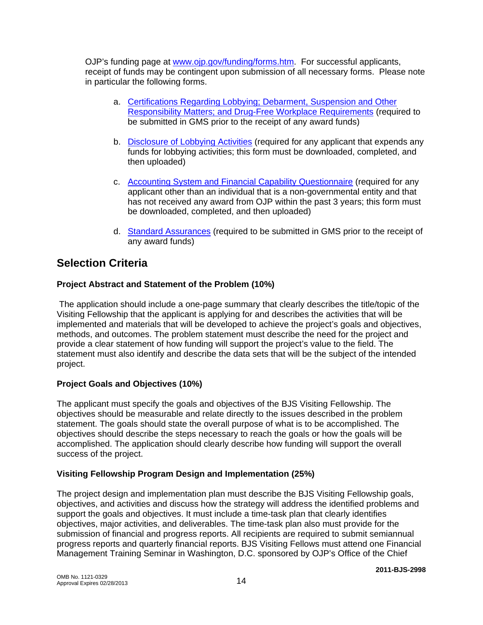OJP's funding page at [www.ojp.gov/funding/forms.htm.](http://www.ojp.gov/funding/forms.htm) For successful applicants, receipt of funds may be contingent upon submission of all necessary forms. Please note in particular the following forms.

- a. [Certifications Regarding Lobbying; Debarment, Suspension and Other](http://www.ojp.gov/funding/forms/certifications.pdf)  [Responsibility Matters; and Drug-Free Workplace Requirements](http://www.ojp.gov/funding/forms/certifications.pdf) (required to be submitted in GMS prior to the receipt of any award funds)
- b. [Disclosure of Lobbying Activities](http://www.ojp.gov/funding/forms/disclosure.pdf) (required for any applicant that expends any funds for lobbying activities; this form must be downloaded, completed, and then uploaded)
- c. [Accounting System and Financial Capability Questionnaire](http://www.ojp.gov/funding/forms/financial_capability.pdf) (required for any applicant other than an individual that is a non-governmental entity and that has not received any award from OJP within the past 3 years; this form must be downloaded, completed, and then uploaded)
- d. [Standard Assurances](http://www.ojp.gov/funding/forms/std_assurances.pdf) (required to be submitted in GMS prior to the receipt of any award funds)

# **Selection Criteria**

### **Project Abstract and Statement of the Problem (10%)**

 The application should include a one-page summary that clearly describes the title/topic of the Visiting Fellowship that the applicant is applying for and describes the activities that will be implemented and materials that will be developed to achieve the project's goals and objectives, methods, and outcomes. The problem statement must describe the need for the project and provide a clear statement of how funding will support the project's value to the field. The statement must also identify and describe the data sets that will be the subject of the intended project.

### **Project Goals and Objectives (10%)**

The applicant must specify the goals and objectives of the BJS Visiting Fellowship. The objectives should be measurable and relate directly to the issues described in the problem statement. The goals should state the overall purpose of what is to be accomplished. The objectives should describe the steps necessary to reach the goals or how the goals will be accomplished. The application should clearly describe how funding will support the overall success of the project.

### **Visiting Fellowship Program Design and Implementation (25%)**

The project design and implementation plan must describe the BJS Visiting Fellowship goals, objectives, and activities and discuss how the strategy will address the identified problems and support the goals and objectives. It must include a time-task plan that clearly identifies objectives, major activities, and deliverables. The time-task plan also must provide for the submission of financial and progress reports. All recipients are required to submit semiannual progress reports and quarterly financial reports. BJS Visiting Fellows must attend one Financial Management Training Seminar in Washington, D.C. sponsored by OJP's Office of the Chief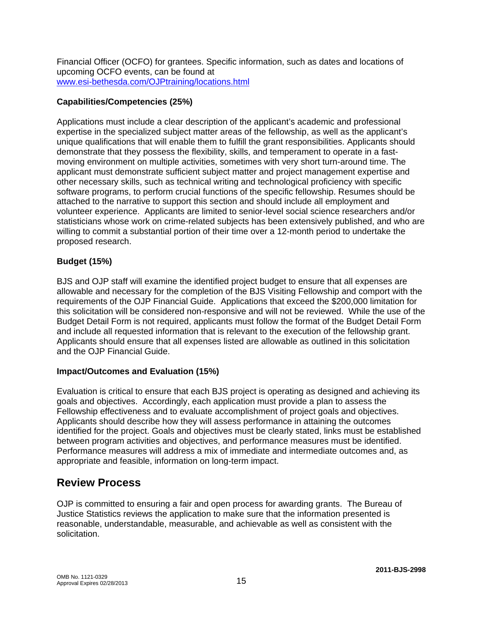Financial Officer (OCFO) for grantees. Specific information, such as dates and locations of upcoming OCFO events, can be found at [www.esi-bethesda.com/OJPtraining/locations.html](http://www.esi-bethesda.com/OJPtraining/locations.html)

### **Capabilities/Competencies (25%)**

Applications must include a clear description of the applicant's academic and professional expertise in the specialized subject matter areas of the fellowship, as well as the applicant's unique qualifications that will enable them to fulfill the grant responsibilities. Applicants should demonstrate that they possess the flexibility, skills, and temperament to operate in a fastmoving environment on multiple activities, sometimes with very short turn-around time. The applicant must demonstrate sufficient subject matter and project management expertise and other necessary skills, such as technical writing and technological proficiency with specific software programs, to perform crucial functions of the specific fellowship. Resumes should be attached to the narrative to support this section and should include all employment and volunteer experience. Applicants are limited to senior-level social science researchers and/or statisticians whose work on crime-related subjects has been extensively published, and who are willing to commit a substantial portion of their time over a 12-month period to undertake the proposed research.

### **Budget (15%)**

BJS and OJP staff will examine the identified project budget to ensure that all expenses are allowable and necessary for the completion of the BJS Visiting Fellowship and comport with the requirements of the OJP Financial Guide. Applications that exceed the \$200,000 limitation for this solicitation will be considered non-responsive and will not be reviewed. While the use of the Budget Detail Form is not required, applicants must follow the format of the Budget Detail Form and include all requested information that is relevant to the execution of the fellowship grant. Applicants should ensure that all expenses listed are allowable as outlined in this solicitation and the OJP Financial Guide.

#### **Impact/Outcomes and Evaluation (15%)**

Evaluation is critical to ensure that each BJS project is operating as designed and achieving its goals and objectives. Accordingly, each application must provide a plan to assess the Fellowship effectiveness and to evaluate accomplishment of project goals and objectives. Applicants should describe how they will assess performance in attaining the outcomes identified for the project. Goals and objectives must be clearly stated, links must be established between program activities and objectives, and performance measures must be identified. Performance measures will address a mix of immediate and intermediate outcomes and, as appropriate and feasible, information on long-term impact.

## **Review Process**

OJP is committed to ensuring a fair and open process for awarding grants. The Bureau of Justice Statistics reviews the application to make sure that the information presented is reasonable, understandable, measurable, and achievable as well as consistent with the solicitation.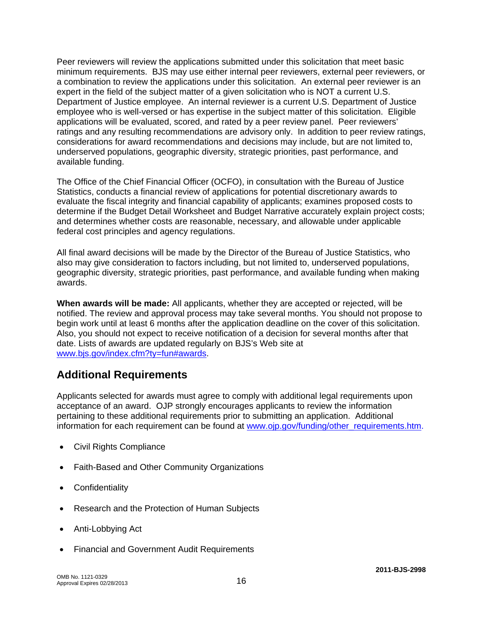Peer reviewers will review the applications submitted under this solicitation that meet basic minimum requirements. BJS may use either internal peer reviewers, external peer reviewers, or a combination to review the applications under this solicitation. An external peer reviewer is an expert in the field of the subject matter of a given solicitation who is NOT a current U.S. Department of Justice employee. An internal reviewer is a current U.S. Department of Justice employee who is well-versed or has expertise in the subject matter of this solicitation. Eligible applications will be evaluated, scored, and rated by a peer review panel. Peer reviewers' ratings and any resulting recommendations are advisory only. In addition to peer review ratings, considerations for award recommendations and decisions may include, but are not limited to, underserved populations, geographic diversity, strategic priorities, past performance, and available funding.

The Office of the Chief Financial Officer (OCFO), in consultation with the Bureau of Justice Statistics, conducts a financial review of applications for potential discretionary awards to evaluate the fiscal integrity and financial capability of applicants; examines proposed costs to determine if the Budget Detail Worksheet and Budget Narrative accurately explain project costs; and determines whether costs are reasonable, necessary, and allowable under applicable federal cost principles and agency regulations.

All final award decisions will be made by the Director of the Bureau of Justice Statistics, who also may give consideration to factors including, but not limited to, underserved populations, geographic diversity, strategic priorities, past performance, and available funding when making awards.

**When awards will be made:** All applicants, whether they are accepted or rejected, will be notified. The review and approval process may take several months. You should not propose to begin work until at least 6 months after the application deadline on the cover of this solicitation. Also, you should not expect to receive notification of a decision for several months after that date. Lists of awards are updated regularly on BJS's Web site at [www.bjs.gov/index.cfm?ty=fun#awards.](http://bjs.gov/index.cfm?ty=fun#awards)

## **Additional Requirements**

Applicants selected for awards must agree to comply with additional legal requirements upon acceptance of an award. OJP strongly encourages applicants to review the information pertaining to these additional requirements prior to submitting an application. Additional information for each requirement can be found at [www.ojp.gov/funding/other\\_requirements.htm](http://www.ojp.gov/funding/other_requirements.htm).

- [Civil Rights Compliance](http://www.ojp.usdoj.gov/about/ocr/statutes.htm)
- Faith-Based and Other Community Organizations
- Confidentiality
- Research and the Protection of Human Subjects
- Anti-Lobbying Act
- Financial and Government Audit Requirements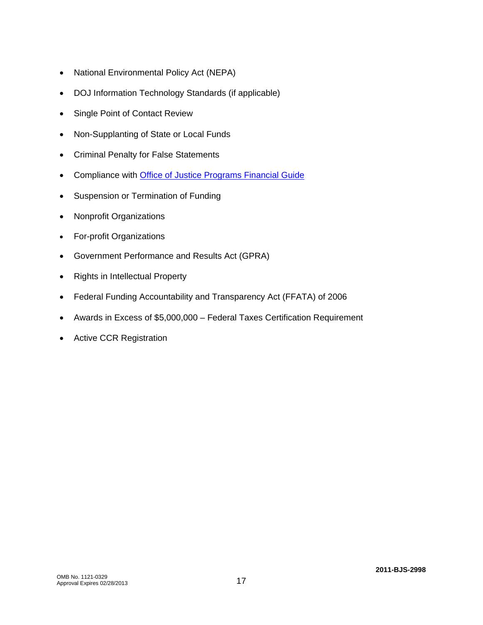- National Environmental Policy Act (NEPA)
- DOJ Information Technology Standards (if applicable)
- Single Point of Contact Review
- Non-Supplanting of State or Local Funds
- Criminal Penalty for False Statements
- Compliance with [Office of Justice Programs Financial Guide](http://www.ojp.gov/financialguide/index.htm)
- Suspension or Termination of Funding
- Nonprofit Organizations
- For-profit Organizations
- Government Performance and Results Act (GPRA)
- Rights in Intellectual Property
- Federal Funding Accountability and Transparency Act (FFATA) of 2006
- Awards in Excess of \$5,000,000 Federal Taxes Certification Requirement
- Active CCR Registration